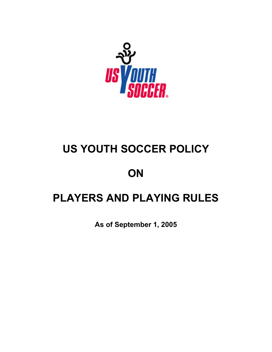

# **US YOUTH SOCCER POLICY**

# **ON**

# **PLAYERS AND PLAYING RULES**

**As of September 1, 2005**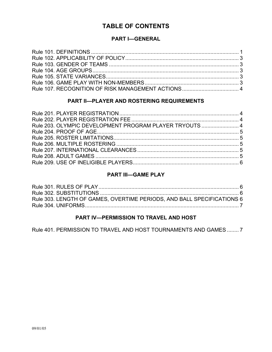## **TABLE OF CONTENTS**

## **PART I—GENERAL**

## **PART II—PLAYER AND ROSTERING REQUIREMENTS**

| Rule 203. OLYMPIC DEVELOPMENT PROGRAM PLAYER TRYOUTS  4 |  |
|---------------------------------------------------------|--|
|                                                         |  |
|                                                         |  |
|                                                         |  |
|                                                         |  |
|                                                         |  |
|                                                         |  |
|                                                         |  |

### **PART III—GAME PLAY**

| Rule 303. LENGTH OF GAMES, OVERTIME PERIODS. AND BALL SPECIFICATIONS 6 |  |
|------------------------------------------------------------------------|--|
|                                                                        |  |
|                                                                        |  |

### **PART IV—PERMISSION TO TRAVEL AND HOST**

Rule 401. PERMISSION TO TRAVEL AND HOST TOURNAMENTS AND GAMES ........ 7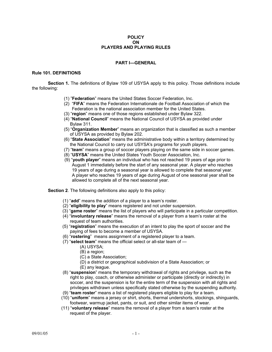#### **POLICY ON PLAYERS AND PLAYING RULES**

#### **PART I—GENERAL**

#### **Rule 101. DEFINITIONS**

 **Section 1.** The definitions of Bylaw 109 of USYSA apply to this policy. Those definitions include the following:

- (1) "**Federation**" means the United States Soccer Federation, Inc.
- (2) "**FIFA**" means the Federation Internationale de Football Association of which the Federation is the national association member for the United States.
- (3) "**region**" means one of those regions established under Bylaw 322.
- (4) "**National Council**" means the National Council of USYSA as provided under Bylaw 311.
- (5) "**Organization Member**" means an organization that is classified as such a member of USYSA as provided by Bylaw 202.
- (6) "**State Association**" means the administrative body within a territory determined by the National Council to carry out USYSA's programs for youth players.
- (7) "**team**" means a group of soccer players playing on the same side in soccer games.
- (8) "**USYSA**" means the United States Youth Soccer Association, Inc.
- (9) "**youth player**" means an individual who has not reached 19 years of age prior to August 1 immediately before the start of any seasonal year. A player who reaches 19 years of age during a seasonal year is allowed to complete that seasonal year. A player who reaches 19 years of age during August of one seasonal year shall be allowed to complete all of the next seasonal year.

 **Section 2**. The following definitions also apply to this policy:

- (1) "**add**" means the addition of a player to a team's roster.
- (2) "**eligibility to play**" means registered and not under suspension.
- (3) "**game roster**" means the list of players who will participate in a particular competition.
- (4) "**involuntary release**" means the removal of a player from a team's roster at the request of team authorities.
- (5) "**registration**" means the execution of an intent to play the sport of soccer and the paying of fees to become a member of USYSA.
- (6) "**rostering**" means assignment of a registered player to a team.
- (7) "**select team**" means the official select or all-star team of
	- (A) USYSA;
		- (B) a region;
		- (C) a State Association;
		- (D) a district or geographical subdivision of a State Association; or
		- (E) any league.
- (8) "**suspension**" means the temporary withdrawal of rights and privilege, such as the right to play, coach, or otherwise administer or participate (directly or indirectly) in soccer, and the suspension is for the entire term of the suspension with all rights and privileges withdrawn unless specifically stated otherwise by the suspending authority.
- (9) "**team roster**" means a list of registered players eligible to play for a team.
- (10) "**uniform**" means a jersey or shirt, shorts, thermal undershorts, stockings, shinguards, footwear, warmup jacket, pants, or suit, and other similar items of wear.
- (11) "**voluntary release**" means the removal of a player from a team's roster at the request of the player.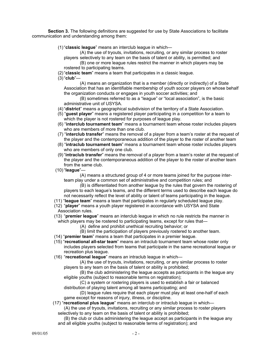**Section 3.** The following definitions are suggested for use by State Associations to facilitate communication and understanding among them:

(1) "**classic league**" means an interclub league in which—

 (A) the use of tryouts, invitations, recruiting, or any similar process to roster players selectively to any team on the basis of talent or ability, is permitted; and

 (B) one or more league rules restrict the manner in which players may be rostered to participating teams.

(2) "**classic team**" means a team that participates in a classic league.

(3) "**club**"—

 (A) means an organization that is a member (directly or indirectly) of a State Association that has an identifiable membership of youth soccer players on whose behalf the organization conducts or engages in youth soccer activities; and

 (B) sometimes referred to as a "league" or "local association", is the basic administrative unit of USYSA.

- (4) "**district**" means a geographical subdivision of the territory of a State Association.
- (5) "**guest player**" means a registered player participating in a competition for a team to which the player is not rostered for purposes of league play.
- (6) "**interclub tournament team**" means a tournament team whose roster includes players who are members of more than one club.
- (7) "**interclub transfer**" means the removal of a player from a team's roster at the request of the player and the contemporaneous addition of the player to the roster of another team
- (8) "**intraclub tournament team**" means a tournament team whose roster includes players who are members of only one club.
- (9) "**intraclub transfer**" means the removal of a player from a team's roster at the request of the player and the contemporaneous addition of the player to the roster of another team from the same club.
- (10) "**league**"—

 (A) means a structured group of 4 or more teams joined for the purpose inter team play under a common set of administrative and competition rules; and

 (B) is differentiated from another league by the rules that govern the rostering of players to each league's teams, and the different terms used to describe each league do not necessarily reflect the level of ability or talent of teams participating in the league.

- (11) "**league team**" means a team that participates in regularly scheduled league play.
- (12) "**player**" means a youth player registered in accordance with USYSA and State Association rules.
- (13) "**premier league**" means an interclub league in which no rule restricts the manner in which players may be rostered to participating teams, except for rules that—
	- (A) define and prohibit unethical recruiting behavior; or
	- (B) limit the participation of players previously rostered to another team.
- (14) "**premier team**" means a team that participates in a premier league.
- (15) "**recreational all-star team**" means an intraclub tournament team whose roster only includes players selected from teams that participate in the same recreational league or recreation plus league.
- (16) "**recreational league**" means an intraclub league in which—
	- (A) the use of tryouts, invitations, recruiting, or any similar process to roster players to any team on the basis of talent or ability is prohibited;
	- (B) the club administering the league accepts as participants in the league any eligible youths (subject to reasonable terms on registration);

 (C) a system or rostering players is used to establish a fair or balanced distribution of playing talent among all teams participating; and

 (D) league rules require that each player must play at least one-half of each game except for reasons of injury, illness, or discipline.

(17) "**recreational plus league**" means an interclub or intraclub league in which—

 (A) the use of tryouts, invitations, recruiting or any similar process to roster players selectively to any team on the basis of talent or ability is prohibited;

 (B) the club or clubs administering the league accept as participants in the league any and all eligible youths (subject to reasonable terms of registration); and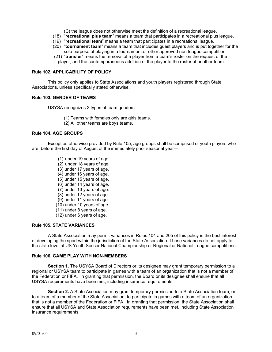(C) the league does not otherwise meet the definition of a recreational league.

- (18) "**recreational plus team**" means a team that participates in a recreational plus league.
- (19) "**recreational team**" means a team that participates in a recreational league.
- (20) "**tournament team**" means a team that includes guest players and is put together for the sole purpose of playing in a tournament or other approved non-league competition.
- (21) "**transfer**" means the removal of a player from a team's roster on the request of the player, and the contemporaneous addition of the player to the roster of another team.

#### **Rule 102. APPLICABILITY OF POLICY**

 This policy only applies to State Associations and youth players registered through State Associations, unless specifically stated otherwise.

#### **Rule 103. GENDER OF TEAMS**

USYSA recognizes 2 types of team genders:

- (1) Teams with females only are girls teams.
- (2) All other teams are boys teams.

#### **Rule 104. AGE GROUPS**

 Except as otherwise provided by Rule 105, age groups shall be comprised of youth players who are, before the first day of August of the immediately prior seasonal year—

- (1) under 19 years of age.
- (2) under 18 years of age.
- (3) under 17 years of age.
- (4) under 16 years of age.
- (5) under 15 years of age.
- (6) under 14 years of age.
- (7) under 13 years of age.
- (8) under 12 years of age.
- (9) under 11 years of age.
- (10) under 10 years of age.
- (11) under 8 years of age.
- (12) under 6 years of age.

#### **Rule 105. STATE VARIANCES**

 A State Association may permit variances in Rules 104 and 205 of this policy in the best interest of developing the sport within the jurisdiction of the State Association. Those variances do not apply to the state level of US Youth Soccer National Championship or Regional or National League competitions.

#### **Rule 106. GAME PLAY WITH NON-MEMBERS**

**Section 1.** The USYSA Board of Directors or its designee may grant temporary permission to a regional or USYSA team to participate in games with a team of an organization that is not a member of the Federation or FIFA. In granting that permission, the Board or its designee shall ensure that all USYSA requirements have been met, including insurance requirements.

**Section 2.** A State Association may grant temporary permission to a State Association team, or to a team of a member of the State Association, to participate in games with a team of an organization that is not a member of the Federation or FIFA. In granting that permission, the State Association shall ensure that all USYSA and State Association requirements have been met, including State Association insurance requirements.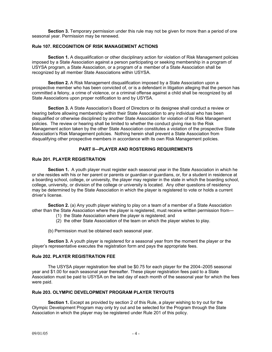**Section 3.** Temporary permission under this rule may not be given for more than a period of one seasonal year. Permission may be renewed.

#### **Rule 107. RECOGNITION OF RISK MANAGEMENT ACTIONS**

**Section 1.** A disqualification or other disciplinary action for violation of Risk Management policies imposed by a State Association against a person participating or seeking membership in a program of USYSA program, a State Association, or a program of a member of a State Association shall be recognized by all member State Associations within USYSA.

**Section 2.** A Risk Management disqualification imposed by a State Association upon a prospective member who has been convicted of, or is a defendant in litigation alleging that the person has committed a felony, a crime of violence, or a criminal offense against a child shall be recognized by all State Associations upon proper notification to and by USYSA.

**Section 3.** A State Association's Board of Directors or its designee shall conduct a review or hearing before allowing membership within their State Association to any individual who has been disqualified or otherwise disciplined by another State Association for violation of its Risk Management policies. The review or hearing shall be limited to whether the conduct giving rise to the Risk Management action taken by the other State Association constitutes a violation of the prospective State Association's Risk Management policies. Nothing herein shall prevent a State Association from disqualifying other prospective members in accordance with its own Risk Management policies.

#### **PART II—PLAYER AND ROSTERING REQUIREMENTS**

#### **Rule 201. PLAYER REGISTRATION**

 **Section 1.** A youth player must register each seasonal year in the State Association in which he or she resides with his or her parent or parents or guardian or guardians, or, for a student in residence at a boarding school, college, or university, the player may register in the state in which the boarding school, college, university, or division of the college or university is located. Any other questions of residency may be determined by the State Association in which the player is registered to vote or holds a current driver's license.

 **Section 2.** (a) Any youth player wishing to play on a team of a member of a State Association other than the State Association where the player is registered, must receive written permission from—

- (1) the State Association where the player is registered; and
- (2) the other State Association of the team on which the player wishes to play.

(b) Permission must be obtained each seasonal year.

 **Section 3.** A youth player is registered for a seasonal year from the moment the player or the player's representative executes the registration form and pays the appropriate fees.

#### **Rule 202. PLAYER REGISTRATION FEE**

 The USYSA player registration fee shall be \$0.75 for each player for the 2004–2005 seasonal year and \$1.00 for each seasonal year thereafter. These player registration fees paid to a State Association must be paid to USYSA on the last day of each month of the seasonal year for which the fees were paid.

### **Rule 203. OLYMPIC DEVELOPMENT PROGRAM PLAYER TRYOUTS**

 **Section 1.** Except as provided by section 2 of this Rule, a player wishing to try out for the Olympic Development Program may only try out and be selected for the Program through the State Association in which the player may be registered under Rule 201 of this policy.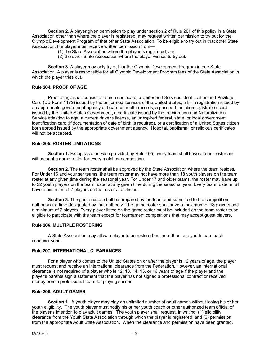**Section 2.** A player given permission to play under section 2 of Rule 201 of this policy in a State Association other than where the player is registered, may request written permission to try out for the Olympic Development Program of that other State Association. To be eligible to try out in that other State Association, the player must receive written permission from—

- (1) the State Association where the player is registered; and
- (2) the other State Association where the player wishes to try out.

 **Section 3.** A player may only try out for the Olympic Development Program in one State Association. A player is responsible for all Olympic Development Program fees of the State Association in which the player tries out.

#### **Rule 204. PROOF OF AGE**

 Proof of age shall consist of a birth certificate, a Uniformed Services Identification and Privilege Card (DD Form 1173) issued by the uniformed services of the United States, a birth registration issued by an appropriate government agency or board of health records, a passport, an alien registration card issued by the United States Government, a certificate issued by the Immigration and Naturalization Service attesting to age, a current driver's license, an unexpired federal, state, or local government identification card (if documentation of date of birth is required), or a certification of a United States citizen born abroad issued by the appropriate government agency. Hospital, baptismal, or religious certificates will not be accepted.

#### **Rule 205. ROSTER LIMITATIONS**

**Section 1.** Except as otherwise provided by Rule 105, every team shall have a team roster and will present a game roster for every match or competition.

**Section 2.** The team roster shall be approved by the State Association where the team resides. For Under 16 and younger teams, the team roster may not have more than 18 youth players on the team roster at any given time during the seasonal year. For Under 17 and older teams, the roster may have up to 22 youth players on the team roster at any given time during the seasonal year. Every team roster shall have a minimum of 7 players on the roster at all times.

**Section 3.** The game roster shall be prepared by the team and submitted to the competition authority at a time designated by that authority. The game roster shall have a maximum of 18 players and a minimum of 7 players. Every player listed on the game roster must be included on the team roster to be eligible to participate with the team except for tournament competitions that may accept guest players.

#### **Rule 206. MULTIPLE ROSTERING**

 A State Association may allow a player to be rostered on more than one youth team each seasonal year.

#### **Rule 207. INTERNATIONAL CLEARANCES**

 For a player who comes to the United States on or after the player is 12 years of age, the player must request and receive an international clearance from the Federation. However, an international clearance is not required of a player who is 12, 13, 14, 15, or 16 years of age if the player and the player's parents sign a statement that the player has not signed a professional contract or received money from a professional team for playing soccer.

#### **Rule 208. ADULT GAMES**

 **Section 1.** A youth player may play an unlimited number of adult games without losing his or her youth eligibility. The youth player must notify his or her youth coach or other authorized team official of the player's intention to play adult games. The youth player shall request, in writing, (1) eligibility clearance from the Youth State Association through which the player is registered, and (2) permission from the appropriate Adult State Association. When the clearance and permission have been granted,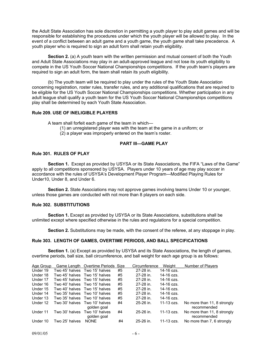the Adult State Association has sole discretion in permitting a youth player to play adult games and will be responsible for establishing the procedures under which the youth player will be allowed to play. In the event of a conflict between an adult game and a youth game, the youth game shall take precedence. A youth player who is required to sign an adult form shall retain youth eligibility.

 **Section 2.** (a) A youth team with the written permission and mutual consent of both the Youth and Adult State Associations may play in an adult-approved league and not lose its youth eligibility to compete in the US Youth Soccer National Championships competitions. If the youth team's players are required to sign an adult form, the team shall retain its youth eligibility.

(b) The youth team will be required to play under the rules of the Youth State Association concerning registration, roster rules, transfer rules, and any additional qualifications that are required to be eligible for the US Youth Soccer National Championships competitions. Whether participation in any adult league shall qualify a youth team for the US Youth Soccer National Championships competitions play shall be determined by each Youth State Association.

#### **Rule 209. USE OF INELIGIBLE PLAYERS**

A team shall forfeit each game of the team in which—

- (1) an unregistered player was with the team at the game in a uniform; or
- (2) a player was improperly entered on the team's roster.

#### **PART III—GAME PLAY**

#### **Rule 301. RULES OF PLAY**

 **Section 1.** Except as provided by USYSA or its State Associations, the FIFA "Laws of the Game" apply to all competitions sponsored by USYSA. Players under 10 years of age may play soccer in accordance with the rules of USYSA's Development Player Program—Modified Playing Rules for Under10, Under 8, and Under 6.

 **Section 2.** State Associations may not approve games involving teams Under 10 or younger, unless those games are conducted with not more than 8 players on each side.

#### **Rule 302. SUBSTITUTIONS**

 **Section 1.** Except as provided by USYSA or its State Associations, substitutions shall be unlimited except where specified otherwise in the rules and regulations for a special competition.

 **Section 2.** Substitutions may be made, with the consent of the referee, at any stoppage in play.

#### **Rule 303. LENGTH OF GAMES, OVERTIME PERIODS, AND BALL SPECIFICATIONS**

 **Section 1.** (a) Except as provided by USYSA and its State Associations, the length of games, overtime periods, ball size, ball circumference, and ball weight for each age group is as follows:

| Age Group |                               | Game Length Overtime Periods Size            |    | Circumference | Weight            | Number of Players                          |
|-----------|-------------------------------|----------------------------------------------|----|---------------|-------------------|--------------------------------------------|
| Under 19  | Two 45' halves Two 15' halves |                                              | #5 | 27-28 in.     | 14-16 ozs.        |                                            |
| Under 18  | Two 45' halves Two 15' halves |                                              | #5 | 27-28 in.     | 14-16 ozs.        |                                            |
| Under 17  | Two 45' halves Two 15' halves |                                              | #5 | 27-28 in.     | $14 - 16$ $07$ S. |                                            |
| Under 16  | Two 40' halves Two 15' halves |                                              | #5 | 27-28 in.     | 14-16 ozs.        |                                            |
| Under 15  | Two 40' halves Two 15' halves |                                              | #5 | 27-28 in.     | 14-16 ozs.        |                                            |
| Under 14  | Two 35' halves Two 10' halves |                                              | #5 | 27-28 in.     | 14-16 ozs.        |                                            |
| Under 13  | Two 35' halves                | Two 10' halves                               | #5 | 27-28 in.     | 14-16 ozs.        |                                            |
| Under 12  |                               | Two 30' halves Two 10' halves<br>golden goal | #4 | $25-26$ in.   | 11-13 ozs.        | No more than 11, 8 strongly<br>recommended |
| Under 11  | Two 30' halves                | Two 10' halves<br>golden goal                | #4 | $25-26$ in.   | 11-13 ozs.        | No more than 11, 8 strongly<br>recommended |
| Under 10  | Two 25' halves                | <b>NONE</b>                                  | #4 | 25-26 in.     | 11-13 ozs.        | No more than 7, 6 strongly                 |